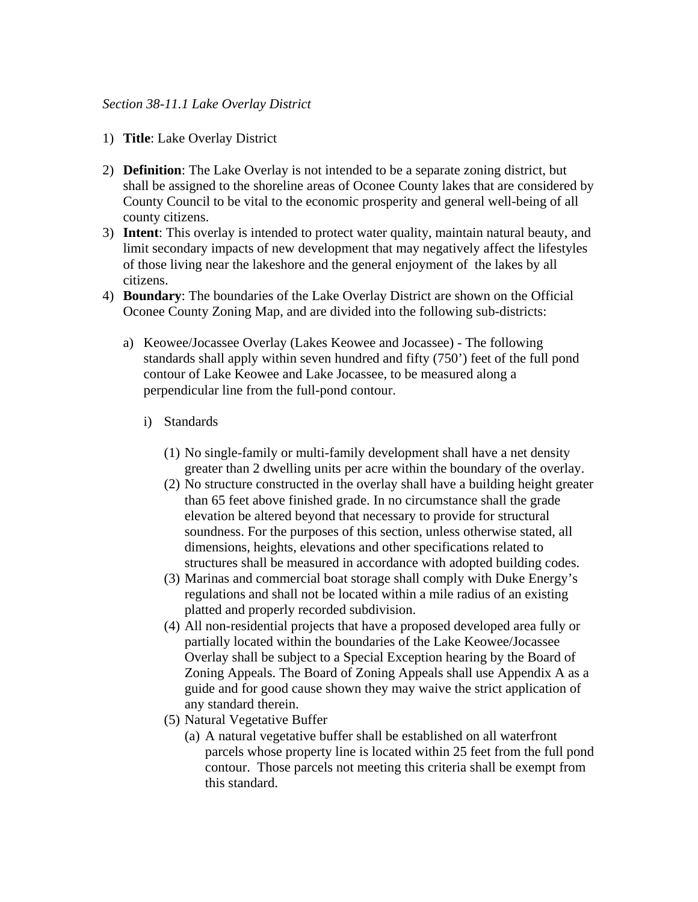## *Section 38-11.1 Lake Overlay District*

- 1) **Title**: Lake Overlay District
- 2) **Definition**: The Lake Overlay is not intended to be a separate zoning district, but shall be assigned to the shoreline areas of Oconee County lakes that are considered by County Council to be vital to the economic prosperity and general well-being of all county citizens.
- 3) **Intent**: This overlay is intended to protect water quality, maintain natural beauty, and limit secondary impacts of new development that may negatively affect the lifestyles of those living near the lakeshore and the general enjoyment of the lakes by all citizens.
- 4) **Boundary**: The boundaries of the Lake Overlay District are shown on the Official Oconee County Zoning Map, and are divided into the following sub-districts:
	- a) Keowee/Jocassee Overlay (Lakes Keowee and Jocassee) The following standards shall apply within seven hundred and fifty (750') feet of the full pond contour of Lake Keowee and Lake Jocassee, to be measured along a perpendicular line from the full-pond contour.
		- i) Standards
			- (1) No single-family or multi-family development shall have a net density greater than 2 dwelling units per acre within the boundary of the overlay.
			- (2) No structure constructed in the overlay shall have a building height greater than 65 feet above finished grade. In no circumstance shall the grade elevation be altered beyond that necessary to provide for structural soundness. For the purposes of this section, unless otherwise stated, all dimensions, heights, elevations and other specifications related to structures shall be measured in accordance with adopted building codes.
			- (3) Marinas and commercial boat storage shall comply with Duke Energy's regulations and shall not be located within a mile radius of an existing platted and properly recorded subdivision.
			- (4) All non-residential projects that have a proposed developed area fully or partially located within the boundaries of the Lake Keowee/Jocassee Overlay shall be subject to a Special Exception hearing by the Board of Zoning Appeals. The Board of Zoning Appeals shall use Appendix A as a guide and for good cause shown they may waive the strict application of any standard therein.
			- (5) Natural Vegetative Buffer
				- (a) A natural vegetative buffer shall be established on all waterfront parcels whose property line is located within 25 feet from the full pond contour. Those parcels not meeting this criteria shall be exempt from this standard.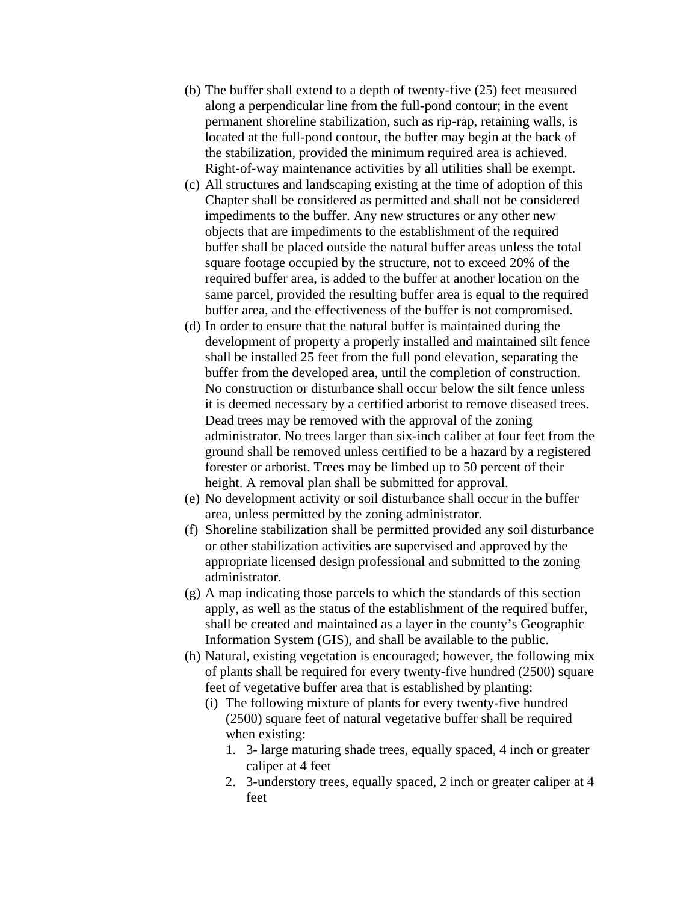- (b) The buffer shall extend to a depth of twenty-five (25) feet measured along a perpendicular line from the full-pond contour; in the event permanent shoreline stabilization, such as rip-rap, retaining walls, is located at the full-pond contour, the buffer may begin at the back of the stabilization, provided the minimum required area is achieved. Right-of-way maintenance activities by all utilities shall be exempt.
- (c) All structures and landscaping existing at the time of adoption of this Chapter shall be considered as permitted and shall not be considered impediments to the buffer. Any new structures or any other new objects that are impediments to the establishment of the required buffer shall be placed outside the natural buffer areas unless the total square footage occupied by the structure, not to exceed 20% of the required buffer area, is added to the buffer at another location on the same parcel, provided the resulting buffer area is equal to the required buffer area, and the effectiveness of the buffer is not compromised.
- (d) In order to ensure that the natural buffer is maintained during the development of property a properly installed and maintained silt fence shall be installed 25 feet from the full pond elevation, separating the buffer from the developed area, until the completion of construction. No construction or disturbance shall occur below the silt fence unless it is deemed necessary by a certified arborist to remove diseased trees. Dead trees may be removed with the approval of the zoning administrator. No trees larger than six-inch caliber at four feet from the ground shall be removed unless certified to be a hazard by a registered forester or arborist. Trees may be limbed up to 50 percent of their height. A removal plan shall be submitted for approval.
- (e) No development activity or soil disturbance shall occur in the buffer area, unless permitted by the zoning administrator.
- (f) Shoreline stabilization shall be permitted provided any soil disturbance or other stabilization activities are supervised and approved by the appropriate licensed design professional and submitted to the zoning administrator.
- (g) A map indicating those parcels to which the standards of this section apply, as well as the status of the establishment of the required buffer, shall be created and maintained as a layer in the county's Geographic Information System (GIS), and shall be available to the public.
- (h) Natural, existing vegetation is encouraged; however, the following mix of plants shall be required for every twenty-five hundred (2500) square feet of vegetative buffer area that is established by planting:
	- (i) The following mixture of plants for every twenty-five hundred (2500) square feet of natural vegetative buffer shall be required when existing:
		- 1. 3- large maturing shade trees, equally spaced, 4 inch or greater caliper at 4 feet
		- 2. 3-understory trees, equally spaced, 2 inch or greater caliper at 4 feet